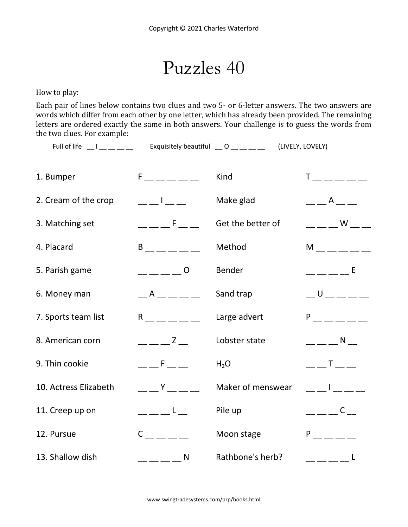Puzzles 40

How to play:

Each pair of lines below contains two clues and two 5- or 6-letter answers. The two answers are words which differ from each other by one letter, which has already been provided. The remaining letters are ordered exactly the same in both answers. Your challenge is to guess the words from the two clues. For example:

Full of life Letter Letter and Little Exquisitely beautiful Letter Controller (LIVELY, LOVELY)

| 1. Bumper             | $F =$ $F =$ $F =$ $F =$                                                                                                                                                                                                                                                                                                                                                                                                                                                         | Kind              | $T =$ _ _ _ _ _ _ _                                                                                                                                                                                                                                                                                                 |
|-----------------------|---------------------------------------------------------------------------------------------------------------------------------------------------------------------------------------------------------------------------------------------------------------------------------------------------------------------------------------------------------------------------------------------------------------------------------------------------------------------------------|-------------------|---------------------------------------------------------------------------------------------------------------------------------------------------------------------------------------------------------------------------------------------------------------------------------------------------------------------|
| 2. Cream of the crop  | $\frac{1}{2}$ $\frac{1}{2}$ $\frac{1}{2}$ $\frac{1}{2}$ $\frac{1}{2}$ $\frac{1}{2}$                                                                                                                                                                                                                                                                                                                                                                                             | Make glad         | A                                                                                                                                                                                                                                                                                                                   |
| 3. Matching set       | <b>Contract Figure</b>                                                                                                                                                                                                                                                                                                                                                                                                                                                          | Get the better of | <b>Solution</b> Service Service Service Service Service Service Service Service Service Service Service Service Service                                                                                                                                                                                             |
| 4. Placard            | B <sub>a</sub>                                                                                                                                                                                                                                                                                                                                                                                                                                                                  | Method            | $M$ $\qquad$                                                                                                                                                                                                                                                                                                        |
| 5. Parish game        | $\begin{array}{c} 0 \\ -1 \end{array}$                                                                                                                                                                                                                                                                                                                                                                                                                                          | Bender            | $----E$                                                                                                                                                                                                                                                                                                             |
| 6. Money man          | $-$ A $  -$                                                                                                                                                                                                                                                                                                                                                                                                                                                                     | Sand trap         | $\cup$                                                                                                                                                                                                                                                                                                              |
| 7. Sports team list   | $R \sim 1$                                                                                                                                                                                                                                                                                                                                                                                                                                                                      | Large advert      | P <sub>2</sub> P <sub>2</sub>                                                                                                                                                                                                                                                                                       |
| 8. American corn      | $- -  z -$                                                                                                                                                                                                                                                                                                                                                                                                                                                                      | Lobster state     | $\frac{1}{2}$ $\frac{1}{2}$ $\frac{1}{2}$ $\frac{1}{2}$ $\frac{1}{2}$ $\frac{1}{2}$ $\frac{1}{2}$ $\frac{1}{2}$ $\frac{1}{2}$ $\frac{1}{2}$ $\frac{1}{2}$ $\frac{1}{2}$ $\frac{1}{2}$ $\frac{1}{2}$ $\frac{1}{2}$ $\frac{1}{2}$ $\frac{1}{2}$ $\frac{1}{2}$ $\frac{1}{2}$ $\frac{1}{2}$ $\frac{1}{2}$ $\frac{1}{2}$ |
| 9. Thin cookie        | $\equiv$ $ F$ $\equiv$ $-$                                                                                                                                                                                                                                                                                                                                                                                                                                                      | $H_2O$            | $\begin{array}{c} \begin{array}{c} \text{} \end{array} \end{array}$ $\begin{array}{c} \text{T} \end{array}$ $\begin{array}{c} \text{} \end{array}$                                                                                                                                                                  |
| 10. Actress Elizabeth | Y                                                                                                                                                                                                                                                                                                                                                                                                                                                                               | Maker of menswear | and the property of the                                                                                                                                                                                                                                                                                             |
| 11. Creep up on       | $\overline{\phantom{a}}$ $\overline{\phantom{a}}$ $\overline{\phantom{a}}$ $\overline{\phantom{a}}$ $\overline{\phantom{a}}$ $\overline{\phantom{a}}$ $\overline{\phantom{a}}$ $\overline{\phantom{a}}$ $\overline{\phantom{a}}$ $\overline{\phantom{a}}$ $\overline{\phantom{a}}$ $\overline{\phantom{a}}$ $\overline{\phantom{a}}$ $\overline{\phantom{a}}$ $\overline{\phantom{a}}$ $\overline{\phantom{a}}$ $\overline{\phantom{a}}$ $\overline{\phantom{a}}$ $\overline{\$ | Pile up           | $\frac{1}{2}$ $\frac{1}{2}$ $\frac{1}{2}$ $\frac{1}{2}$ $\frac{1}{2}$ $\frac{1}{2}$ $\frac{1}{2}$ $\frac{1}{2}$ $\frac{1}{2}$ $\frac{1}{2}$ $\frac{1}{2}$ $\frac{1}{2}$ $\frac{1}{2}$ $\frac{1}{2}$ $\frac{1}{2}$ $\frac{1}{2}$ $\frac{1}{2}$ $\frac{1}{2}$ $\frac{1}{2}$ $\frac{1}{2}$ $\frac{1}{2}$ $\frac{1}{2}$ |
| 12. Pursue            | $C \qquad \qquad \qquad$                                                                                                                                                                                                                                                                                                                                                                                                                                                        | Moon stage        | $P_{\text{max}}$                                                                                                                                                                                                                                                                                                    |
| 13. Shallow dish      | $-- \mathsf{N}$                                                                                                                                                                                                                                                                                                                                                                                                                                                                 | Rathbone's herb?  | $\_\_$                                                                                                                                                                                                                                                                                                              |